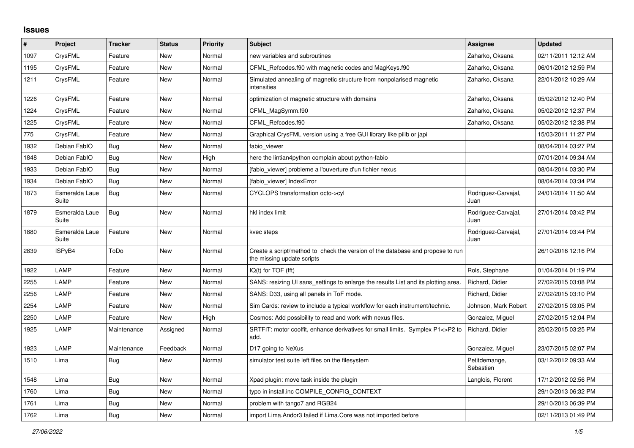## **Issues**

| #    | <b>Project</b>          | <b>Tracker</b> | <b>Status</b> | <b>Priority</b> | <b>Subject</b>                                                                                               | Assignee                    | <b>Updated</b>      |
|------|-------------------------|----------------|---------------|-----------------|--------------------------------------------------------------------------------------------------------------|-----------------------------|---------------------|
| 1097 | CrysFML                 | Feature        | New           | Normal          | new variables and subroutines                                                                                | Zaharko, Oksana             | 02/11/2011 12:12 AM |
| 1195 | CrysFML                 | Feature        | New           | Normal          | CFML_Refcodes.f90 with magnetic codes and MagKeys.f90                                                        | Zaharko, Oksana             | 06/01/2012 12:59 PM |
| 1211 | CrysFML                 | Feature        | New           | Normal          | Simulated annealing of magnetic structure from nonpolarised magnetic<br>intensities                          | Zaharko, Oksana             | 22/01/2012 10:29 AM |
| 1226 | CrysFML                 | Feature        | <b>New</b>    | Normal          | optimization of magnetic structure with domains                                                              | Zaharko, Oksana             | 05/02/2012 12:40 PM |
| 1224 | CrysFML                 | Feature        | New           | Normal          | CFML_MagSymm.f90                                                                                             | Zaharko, Oksana             | 05/02/2012 12:37 PM |
| 1225 | CrysFML                 | Feature        | <b>New</b>    | Normal          | CFML Refcodes.f90                                                                                            | Zaharko, Oksana             | 05/02/2012 12:38 PM |
| 775  | CrysFML                 | Feature        | New           | Normal          | Graphical CrysFML version using a free GUI library like pilib or japi                                        |                             | 15/03/2011 11:27 PM |
| 1932 | Debian FablO            | Bug            | New           | Normal          | fabio viewer                                                                                                 |                             | 08/04/2014 03:27 PM |
| 1848 | Debian FablO            | <b>Bug</b>     | New           | High            | here the lintian4python complain about python-fabio                                                          |                             | 07/01/2014 09:34 AM |
| 1933 | Debian FablO            | Bug            | New           | Normal          | [fabio viewer] probleme a l'ouverture d'un fichier nexus                                                     |                             | 08/04/2014 03:30 PM |
| 1934 | Debian FablO            | Bug            | New           | Normal          | [fabio viewer] IndexError                                                                                    |                             | 08/04/2014 03:34 PM |
| 1873 | Esmeralda Laue<br>Suite | Bug            | New           | Normal          | CYCLOPS transformation octo->cyl                                                                             | Rodriguez-Carvajal,<br>Juan | 24/01/2014 11:50 AM |
| 1879 | Esmeralda Laue<br>Suite | <b>Bug</b>     | New           | Normal          | hkl index limit                                                                                              | Rodriguez-Carvajal,<br>Juan | 27/01/2014 03:42 PM |
| 1880 | Esmeralda Laue<br>Suite | Feature        | <b>New</b>    | Normal          | kvec steps                                                                                                   | Rodriguez-Carvajal,<br>Juan | 27/01/2014 03:44 PM |
| 2839 | ISPyB4                  | ToDo           | New           | Normal          | Create a script/method to check the version of the database and propose to run<br>the missing update scripts |                             | 26/10/2016 12:16 PM |
| 1922 | LAMP                    | Feature        | New           | Normal          | $IQ(t)$ for $TOF$ (fft)                                                                                      | Rols, Stephane              | 01/04/2014 01:19 PM |
| 2255 | LAMP                    | Feature        | New           | Normal          | SANS: resizing UI sans settings to enlarge the results List and its plotting area.                           | Richard, Didier             | 27/02/2015 03:08 PM |
| 2256 | LAMP                    | Feature        | New           | Normal          | SANS: D33, using all panels in ToF mode.                                                                     | Richard, Didier             | 27/02/2015 03:10 PM |
| 2254 | LAMP                    | Feature        | <b>New</b>    | Normal          | Sim Cards: review to include a typical workflow for each instrument/technic.                                 | Johnson, Mark Robert        | 27/02/2015 03:05 PM |
| 2250 | LAMP                    | Feature        | New           | High            | Cosmos: Add possibility to read and work with nexus files.                                                   | Gonzalez, Miguel            | 27/02/2015 12:04 PM |
| 1925 | LAMP                    | Maintenance    | Assigned      | Normal          | SRTFIT: motor coolfit, enhance derivatives for small limits. Symplex P1<>P2 to<br>add.                       | Richard, Didier             | 25/02/2015 03:25 PM |
| 1923 | LAMP                    | Maintenance    | Feedback      | Normal          | D17 going to NeXus                                                                                           | Gonzalez, Miguel            | 23/07/2015 02:07 PM |
| 1510 | Lima                    | Bug            | New           | Normal          | simulator test suite left files on the filesystem                                                            | Petitdemange,<br>Sebastien  | 03/12/2012 09:33 AM |
| 1548 | Lima                    | Bug            | New           | Normal          | Xpad plugin: move task inside the plugin                                                                     | Langlois, Florent           | 17/12/2012 02:56 PM |
| 1760 | Lima                    | Bug            | New           | Normal          | typo in install.inc COMPILE_CONFIG_CONTEXT                                                                   |                             | 29/10/2013 06:32 PM |
| 1761 | Lima                    | <b>Bug</b>     | New           | Normal          | problem with tango7 and RGB24                                                                                |                             | 29/10/2013 06:39 PM |
| 1762 | Lima                    | <b>Bug</b>     | New           | Normal          | import Lima. Andor 3 failed if Lima. Core was not imported before                                            |                             | 02/11/2013 01:49 PM |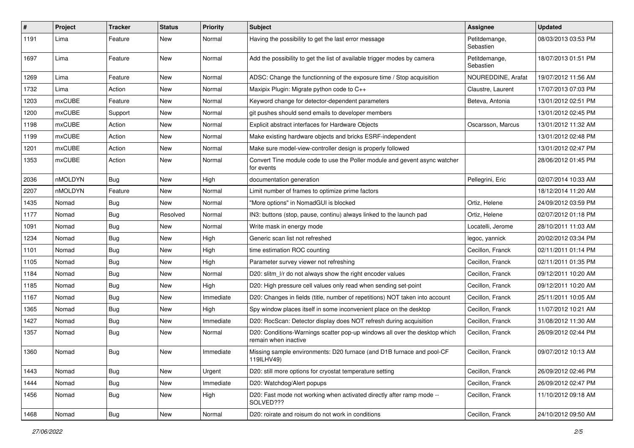| #    | Project       | <b>Tracker</b> | <b>Status</b> | <b>Priority</b> | <b>Subject</b>                                                                                     | <b>Assignee</b>            | <b>Updated</b>      |
|------|---------------|----------------|---------------|-----------------|----------------------------------------------------------------------------------------------------|----------------------------|---------------------|
| 1191 | Lima          | Feature        | New           | Normal          | Having the possibility to get the last error message                                               | Petitdemange,<br>Sebastien | 08/03/2013 03:53 PM |
| 1697 | Lima          | Feature        | New           | Normal          | Add the possibility to get the list of available trigger modes by camera                           | Petitdemange,<br>Sebastien | 18/07/2013 01:51 PM |
| 1269 | Lima          | Feature        | <b>New</b>    | Normal          | ADSC: Change the functionning of the exposure time / Stop acquisition                              | NOUREDDINE, Arafat         | 19/07/2012 11:56 AM |
| 1732 | Lima          | Action         | New           | Normal          | Maxipix Plugin: Migrate python code to C++                                                         | Claustre, Laurent          | 17/07/2013 07:03 PM |
| 1203 | mxCUBE        | Feature        | New           | Normal          | Keyword change for detector-dependent parameters                                                   | Beteva, Antonia            | 13/01/2012 02:51 PM |
| 1200 | <b>mxCUBE</b> | Support        | New           | Normal          | git pushes should send emails to developer members                                                 |                            | 13/01/2012 02:45 PM |
| 1198 | <b>mxCUBE</b> | Action         | New           | Normal          | Explicit abstract interfaces for Hardware Objects                                                  | Oscarsson, Marcus          | 13/01/2012 11:32 AM |
| 1199 | mxCUBE        | Action         | New           | Normal          | Make existing hardware objects and bricks ESRF-independent                                         |                            | 13/01/2012 02:48 PM |
| 1201 | <b>mxCUBE</b> | Action         | New           | Normal          | Make sure model-view-controller design is properly followed                                        |                            | 13/01/2012 02:47 PM |
| 1353 | <b>mxCUBE</b> | Action         | New           | Normal          | Convert Tine module code to use the Poller module and gevent async watcher<br>for events           |                            | 28/06/2012 01:45 PM |
| 2036 | nMOLDYN       | Bug            | New           | High            | documentation generation                                                                           | Pellegrini, Eric           | 02/07/2014 10:33 AM |
| 2207 | nMOLDYN       | Feature        | New           | Normal          | Limit number of frames to optimize prime factors                                                   |                            | 18/12/2014 11:20 AM |
| 1435 | Nomad         | Bug            | New           | Normal          | "More options" in NomadGUI is blocked                                                              | Ortiz, Helene              | 24/09/2012 03:59 PM |
| 1177 | Nomad         | <b>Bug</b>     | Resolved      | Normal          | IN3: buttons (stop, pause, continu) always linked to the launch pad                                | Ortiz, Helene              | 02/07/2012 01:18 PM |
| 1091 | Nomad         | <b>Bug</b>     | New           | Normal          | Write mask in energy mode                                                                          | Locatelli, Jerome          | 28/10/2011 11:03 AM |
| 1234 | Nomad         | <b>Bug</b>     | New           | High            | Generic scan list not refreshed                                                                    | legoc, yannick             | 20/02/2012 03:34 PM |
| 1101 | Nomad         | <b>Bug</b>     | New           | High            | time estimation ROC counting                                                                       | Cecillon, Franck           | 02/11/2011 01:14 PM |
| 1105 | Nomad         | Bug            | New           | High            | Parameter survey viewer not refreshing                                                             | Cecillon, Franck           | 02/11/2011 01:35 PM |
| 1184 | Nomad         | <b>Bug</b>     | New           | Normal          | D20: slitm_l/r do not always show the right encoder values                                         | Cecillon, Franck           | 09/12/2011 10:20 AM |
| 1185 | Nomad         | <b>Bug</b>     | New           | High            | D20: High pressure cell values only read when sending set-point                                    | Cecillon, Franck           | 09/12/2011 10:20 AM |
| 1167 | Nomad         | <b>Bug</b>     | New           | Immediate       | D20: Changes in fields (title, number of repetitions) NOT taken into account                       | Cecillon, Franck           | 25/11/2011 10:05 AM |
| 1365 | Nomad         | Bug            | New           | High            | Spy window places itself in some inconvenient place on the desktop                                 | Cecillon, Franck           | 11/07/2012 10:21 AM |
| 1427 | Nomad         | <b>Bug</b>     | New           | Immediate       | D20: RocScan: Detector display does NOT refresh during acquisition                                 | Cecillon, Franck           | 31/08/2012 11:30 AM |
| 1357 | Nomad         | Bug            | New           | Normal          | D20: Conditions-Warnings scatter pop-up windows all over the desktop which<br>remain when inactive | Cecillon, Franck           | 26/09/2012 02:44 PM |
| 1360 | Nomad         | <b>Bug</b>     | New           | Immediate       | Missing sample environments: D20 furnace (and D1B furnace and pool-CF<br>119ILHV49)                | Cecillon, Franck           | 09/07/2012 10:13 AM |
| 1443 | Nomad         | Bug            | New           | Urgent          | D20: still more options for cryostat temperature setting                                           | Cecillon, Franck           | 26/09/2012 02:46 PM |
| 1444 | Nomad         | <b>Bug</b>     | New           | Immediate       | D20: Watchdog/Alert popups                                                                         | Cecillon, Franck           | 26/09/2012 02:47 PM |
| 1456 | Nomad         | <b>Bug</b>     | New           | High            | D20: Fast mode not working when activated directly after ramp mode --<br>SOLVED???                 | Cecillon, Franck           | 11/10/2012 09:18 AM |
| 1468 | Nomad         | <b>Bug</b>     | New           | Normal          | D20: roirate and roisum do not work in conditions                                                  | Cecillon, Franck           | 24/10/2012 09:50 AM |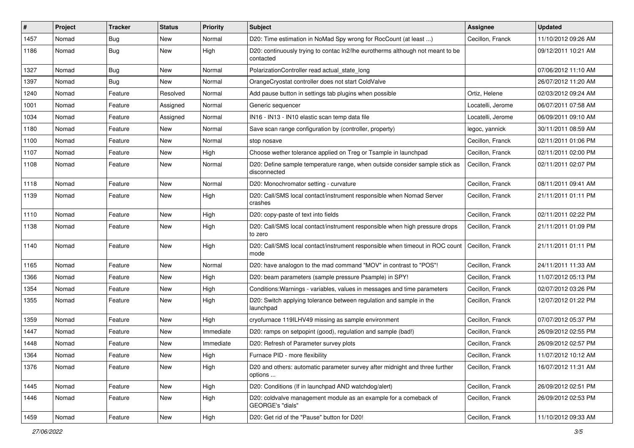| #    | Project | <b>Tracker</b> | <b>Status</b> | <b>Priority</b> | <b>Subject</b>                                                                              | <b>Assignee</b>   | <b>Updated</b>      |
|------|---------|----------------|---------------|-----------------|---------------------------------------------------------------------------------------------|-------------------|---------------------|
| 1457 | Nomad   | <b>Bug</b>     | New           | Normal          | D20: Time estimation in NoMad Spy wrong for RocCount (at least )                            | Cecillon, Franck  | 11/10/2012 09:26 AM |
| 1186 | Nomad   | <b>Bug</b>     | New           | High            | D20: continuously trying to contac ln2/lhe eurotherms although not meant to be<br>contacted |                   | 09/12/2011 10:21 AM |
| 1327 | Nomad   | Bug            | New           | Normal          | PolarizationController read actual_state_long                                               |                   | 07/06/2012 11:10 AM |
| 1397 | Nomad   | <b>Bug</b>     | New           | Normal          | OrangeCryostat controller does not start ColdValve                                          |                   | 26/07/2012 11:20 AM |
| 1240 | Nomad   | Feature        | Resolved      | Normal          | Add pause button in settings tab plugins when possible                                      | Ortiz, Helene     | 02/03/2012 09:24 AM |
| 1001 | Nomad   | Feature        | Assigned      | Normal          | Generic sequencer                                                                           | Locatelli, Jerome | 06/07/2011 07:58 AM |
| 1034 | Nomad   | Feature        | Assigned      | Normal          | IN16 - IN13 - IN10 elastic scan temp data file                                              | Locatelli, Jerome | 06/09/2011 09:10 AM |
| 1180 | Nomad   | Feature        | New           | Normal          | Save scan range configuration by (controller, property)                                     | legoc, yannick    | 30/11/2011 08:59 AM |
| 1100 | Nomad   | Feature        | New           | Normal          | stop nosave                                                                                 | Cecillon, Franck  | 02/11/2011 01:06 PM |
| 1107 | Nomad   | Feature        | New           | High            | Choose wether tolerance applied on Treg or Tsample in launchpad                             | Cecillon, Franck  | 02/11/2011 02:00 PM |
| 1108 | Nomad   | Feature        | New           | Normal          | D20: Define sample temperature range, when outside consider sample stick as<br>disconnected | Cecillon, Franck  | 02/11/2011 02:07 PM |
| 1118 | Nomad   | Feature        | New           | Normal          | D20: Monochromator setting - curvature                                                      | Cecillon, Franck  | 08/11/2011 09:41 AM |
| 1139 | Nomad   | Feature        | New           | High            | D20: Call/SMS local contact/instrument responsible when Nomad Server<br>crashes             | Cecillon, Franck  | 21/11/2011 01:11 PM |
| 1110 | Nomad   | Feature        | New           | High            | D20: copy-paste of text into fields                                                         | Cecillon, Franck  | 02/11/2011 02:22 PM |
| 1138 | Nomad   | Feature        | New           | High            | D20: Call/SMS local contact/instrument responsible when high pressure drops<br>to zero      | Cecillon, Franck  | 21/11/2011 01:09 PM |
| 1140 | Nomad   | Feature        | New           | High            | D20: Call/SMS local contact/instrument responsible when timeout in ROC count<br>mode        | Cecillon, Franck  | 21/11/2011 01:11 PM |
| 1165 | Nomad   | Feature        | New           | Normal          | D20: have analogon to the mad command "MOV" in contrast to "POS"!                           | Cecillon, Franck  | 24/11/2011 11:33 AM |
| 1366 | Nomad   | Feature        | New           | High            | D20: beam parameters (sample pressure Psample) in SPY!                                      | Cecillon, Franck  | 11/07/2012 05:13 PM |
| 1354 | Nomad   | Feature        | New           | High            | Conditions: Warnings - variables, values in messages and time parameters                    | Cecillon, Franck  | 02/07/2012 03:26 PM |
| 1355 | Nomad   | Feature        | New           | High            | D20: Switch applying tolerance between regulation and sample in the<br>launchpad            | Cecillon, Franck  | 12/07/2012 01:22 PM |
| 1359 | Nomad   | Feature        | New           | High            | cryofurnace 119ILHV49 missing as sample environment                                         | Cecillon, Franck  | 07/07/2012 05:37 PM |
| 1447 | Nomad   | Feature        | New           | Immediate       | D20: ramps on setpopint (good), regulation and sample (bad!)                                | Cecillon, Franck  | 26/09/2012 02:55 PM |
| 1448 | Nomad   | Feature        | New           | Immediate       | D20: Refresh of Parameter survey plots                                                      | Cecillon, Franck  | 26/09/2012 02:57 PM |
| 1364 | Nomad   | Feature        | New           | High            | Furnace PID - more flexibility                                                              | Cecillon, Franck  | 11/07/2012 10:12 AM |
| 1376 | Nomad   | Feature        | New           | High            | D20 and others: automatic parameter survey after midnight and three further<br>options      | Cecillon, Franck  | 16/07/2012 11:31 AM |
| 1445 | Nomad   | Feature        | New           | High            | D20: Conditions (If in launchpad AND watchdog/alert)                                        | Cecillon, Franck  | 26/09/2012 02:51 PM |
| 1446 | Nomad   | Feature        | New           | High            | D20: coldvalve management module as an example for a comeback of<br>GEORGE's "dials"        | Cecillon, Franck  | 26/09/2012 02:53 PM |
| 1459 | Nomad   | Feature        | New           | High            | D20: Get rid of the "Pause" button for D20!                                                 | Cecillon, Franck  | 11/10/2012 09:33 AM |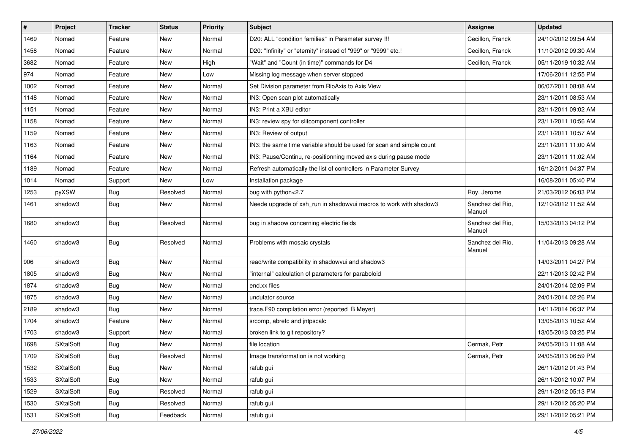| $\sharp$ | Project          | <b>Tracker</b> | <b>Status</b> | <b>Priority</b> | Subject                                                              | <b>Assignee</b>            | <b>Updated</b>      |
|----------|------------------|----------------|---------------|-----------------|----------------------------------------------------------------------|----------------------------|---------------------|
| 1469     | Nomad            | Feature        | New           | Normal          | D20: ALL "condition families" in Parameter survey !!!                | Cecillon, Franck           | 24/10/2012 09:54 AM |
| 1458     | Nomad            | Feature        | New           | Normal          | D20: "Infinity" or "eternity" instead of "999" or "9999" etc.!       | Cecillon, Franck           | 11/10/2012 09:30 AM |
| 3682     | Nomad            | Feature        | New           | High            | "Wait" and "Count (in time)" commands for D4                         | Cecillon, Franck           | 05/11/2019 10:32 AM |
| 974      | Nomad            | Feature        | New           | Low             | Missing log message when server stopped                              |                            | 17/06/2011 12:55 PM |
| 1002     | Nomad            | Feature        | New           | Normal          | Set Division parameter from RioAxis to Axis View                     |                            | 06/07/2011 08:08 AM |
| 1148     | Nomad            | Feature        | New           | Normal          | IN3: Open scan plot automatically                                    |                            | 23/11/2011 08:53 AM |
| 1151     | Nomad            | Feature        | New           | Normal          | IN3: Print a XBU editor                                              |                            | 23/11/2011 09:02 AM |
| 1158     | Nomad            | Feature        | New           | Normal          | IN3: review spy for slitcomponent controller                         |                            | 23/11/2011 10:56 AM |
| 1159     | Nomad            | Feature        | New           | Normal          | IN3: Review of output                                                |                            | 23/11/2011 10:57 AM |
| 1163     | Nomad            | Feature        | New           | Normal          | IN3: the same time variable should be used for scan and simple count |                            | 23/11/2011 11:00 AM |
| 1164     | Nomad            | Feature        | New           | Normal          | IN3: Pause/Continu, re-positionning moved axis during pause mode     |                            | 23/11/2011 11:02 AM |
| 1189     | Nomad            | Feature        | New           | Normal          | Refresh automatically the list of controllers in Parameter Survey    |                            | 16/12/2011 04:37 PM |
| 1014     | Nomad            | Support        | New           | Low             | Installation package                                                 |                            | 16/08/2011 05:40 PM |
| 1253     | pyXSW            | Bug            | Resolved      | Normal          | bug with python<2.7                                                  | Roy, Jerome                | 21/03/2012 06:03 PM |
| 1461     | shadow3          | <b>Bug</b>     | New           | Normal          | Neede upgrade of xsh_run in shadowvui macros to work with shadow3    | Sanchez del Rio.<br>Manuel | 12/10/2012 11:52 AM |
| 1680     | shadow3          | <b>Bug</b>     | Resolved      | Normal          | bug in shadow concerning electric fields                             | Sanchez del Rio,<br>Manuel | 15/03/2013 04:12 PM |
| 1460     | shadow3          | <b>Bug</b>     | Resolved      | Normal          | Problems with mosaic crystals                                        | Sanchez del Rio,<br>Manuel | 11/04/2013 09:28 AM |
| 906      | shadow3          | <b>Bug</b>     | New           | Normal          | read/write compatibility in shadowvui and shadow3                    |                            | 14/03/2011 04:27 PM |
| 1805     | shadow3          | <b>Bug</b>     | New           | Normal          | "internal" calculation of parameters for paraboloid                  |                            | 22/11/2013 02:42 PM |
| 1874     | shadow3          | <b>Bug</b>     | New           | Normal          | end.xx files                                                         |                            | 24/01/2014 02:09 PM |
| 1875     | shadow3          | Bug            | New           | Normal          | undulator source                                                     |                            | 24/01/2014 02:26 PM |
| 2189     | shadow3          | <b>Bug</b>     | <b>New</b>    | Normal          | trace.F90 compilation error (reported B Meyer)                       |                            | 14/11/2014 06:37 PM |
| 1704     | shadow3          | Feature        | New           | Normal          | srcomp, abrefc and jntpscalc                                         |                            | 13/05/2013 10:52 AM |
| 1703     | shadow3          | Support        | New           | Normal          | broken link to git repository?                                       |                            | 13/05/2013 03:25 PM |
| 1698     | <b>SXtalSoft</b> | Bug            | New           | Normal          | file location                                                        | Cermak, Petr               | 24/05/2013 11:08 AM |
| 1709     | SXtalSoft        | Bug            | Resolved      | Normal          | Image transformation is not working                                  | Cermak, Petr               | 24/05/2013 06:59 PM |
| 1532     | SXtalSoft        | Bug            | New           | Normal          | rafub gui                                                            |                            | 26/11/2012 01:43 PM |
| 1533     | SXtalSoft        | <b>Bug</b>     | New           | Normal          | rafub gui                                                            |                            | 26/11/2012 10:07 PM |
| 1529     | SXtalSoft        | <b>Bug</b>     | Resolved      | Normal          | rafub gui                                                            |                            | 29/11/2012 05:13 PM |
| 1530     | SXtalSoft        | <b>Bug</b>     | Resolved      | Normal          | rafub gui                                                            |                            | 29/11/2012 05:20 PM |
| 1531     | <b>SXtalSoft</b> | <b>Bug</b>     | Feedback      | Normal          | rafub gui                                                            |                            | 29/11/2012 05:21 PM |